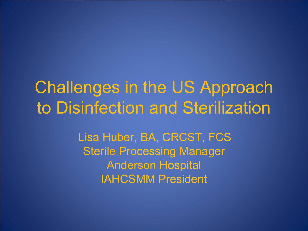#### Challenges in the US Approach to Disinfection and Sterilization

Lisa Huber, BA, CRCST, FCS Sterile Processing Manager Anderson Hospital IAHCSMM President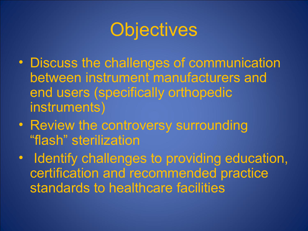# **Objectives**

- Discuss the challenges of communication between instrument manufacturers and end users (specifically orthopedic instruments)
- Review the controversy surrounding "flash" sterilization
- Identify challenges to providing education, certification and recommended practice standards to healthcare facilities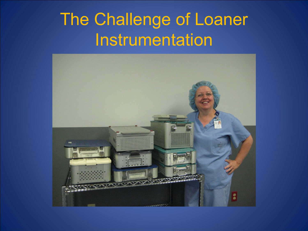#### The Challenge of Loaner **Instrumentation**

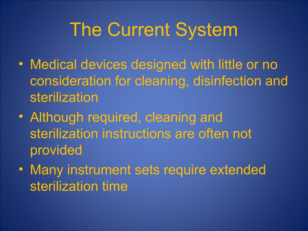# The Current System

- Medical devices designed with little or no consideration for cleaning, disinfection and sterilization
- Although required, cleaning and sterilization instructions are often not provided
- Many instrument sets require extended sterilization time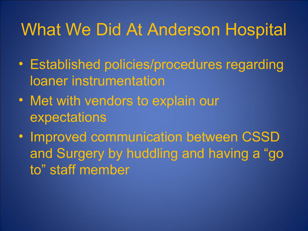#### What We Did At Anderson Hospital

- Established policies/procedures regarding loaner instrumentation
- Met with vendors to explain our expectations
- Improved communication between CSSD and Surgery by huddling and having a "go to" staff member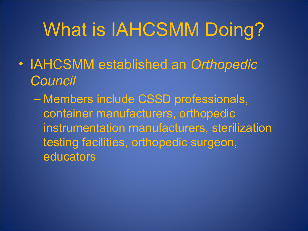# What is IAHCSMM Doing?

- IAHCSMM established an *Orthopedic Council*
	- Members include CSSD professionals, container manufacturers, orthopedic instrumentation manufacturers, sterilization testing facilities, orthopedic surgeon, educators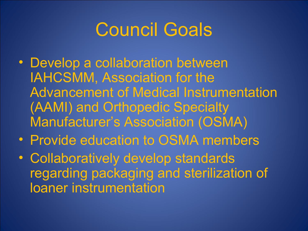# Council Goals

- Develop a collaboration between IAHCSMM, Association for the Advancement of Medical Instrumentation (AAMI) and Orthopedic Specialty Manufacturer's Association (OSMA)
- Provide education to OSMA members
- Collaboratively develop standards regarding packaging and sterilization of loaner instrumentation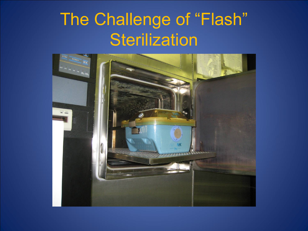#### The Challenge of "Flash" **Sterilization**

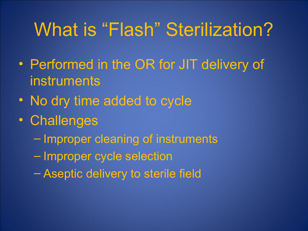# What is "Flash" Sterilization?

- Performed in the OR for JIT delivery of instruments
- No dry time added to cycle
- Challenges
	- Improper cleaning of instruments
	- Improper cycle selection
	- Aseptic delivery to sterile field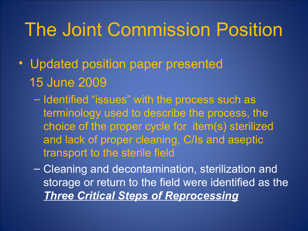## The Joint Commission Position

- Updated position paper presented 15 June 2009
	- Identified "issues" with the process such as terminology used to describe the process, the choice of the proper cycle for item(s) sterilized and lack of proper cleaning, C/Is and aseptic transport to the sterile field
	- Cleaning and decontamination, sterilization and storage or return to the field were identified as the *Three Critical Steps of Reprocessing*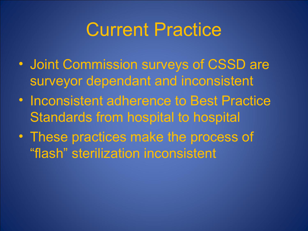### Current Practice

- Joint Commission surveys of CSSD are surveyor dependant and inconsistent
- Inconsistent adherence to Best Practice Standards from hospital to hospital
- These practices make the process of "flash" sterilization inconsistent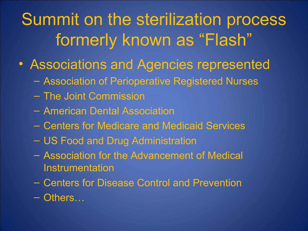## Summit on the sterilization process formerly known as "Flash"

- Associations and Agencies represented
	- Association of Perioperative Registered Nurses
	- The Joint Commission
	- American Dental Association
	- Centers for Medicare and Medicaid Services
	- US Food and Drug Administration
	- Association for the Advancement of Medical **Instrumentation**
	- Centers for Disease Control and Prevention
	- Others…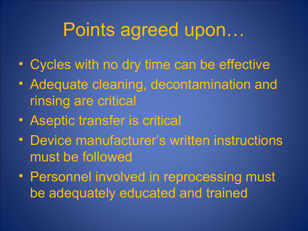## Points agreed upon…

- Cycles with no dry time can be effective
- Adequate cleaning, decontamination and rinsing are critical
- Aseptic transfer is critical
- Device manufacturer's written instructions must be followed
- Personnel involved in reprocessing must be adequately educated and trained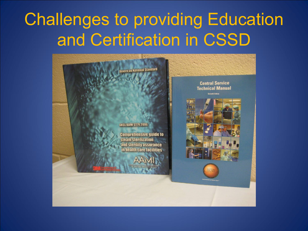#### Challenges to providing Education and Certification in CSSD

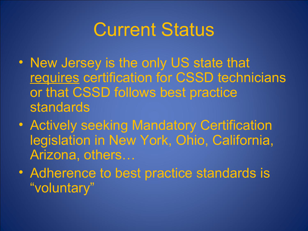### Current Status

- New Jersey is the only US state that requires certification for CSSD technicians or that CSSD follows best practice standards
- Actively seeking Mandatory Certification legislation in New York, Ohio, California, Arizona, others…
- Adherence to best practice standards is "voluntary"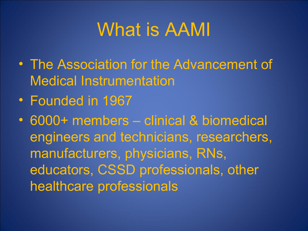## What is AAMI

- The Association for the Advancement of Medical Instrumentation
- Founded in 1967
- 6000+ members clinical & biomedical engineers and technicians, researchers, manufacturers, physicians, RNs, educators, CSSD professionals, other healthcare professionals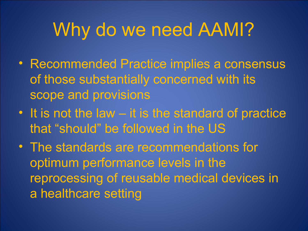# Why do we need AAMI?

- Recommended Practice implies a consensus of those substantially concerned with its scope and provisions
- It is not the law it is the standard of practice that "should" be followed in the US
- The standards are recommendations for optimum performance levels in the reprocessing of reusable medical devices in a healthcare setting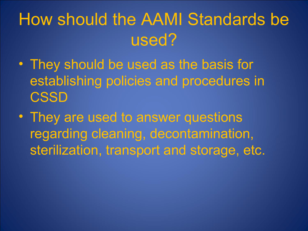#### How should the AAMI Standards be used?

- They should be used as the basis for establishing policies and procedures in **CSSD**
- They are used to answer questions regarding cleaning, decontamination, sterilization, transport and storage, etc.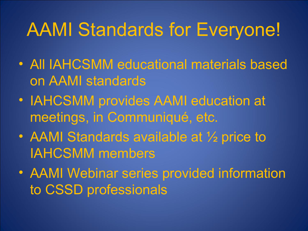# AAMI Standards for Everyone!

- All IAHCSMM educational materials based on AAMI standards
- IAHCSMM provides AAMI education at meetings, in Communiqué, etc.
- AAMI Standards available at 1/2 price to IAHCSMM members
- AAMI Webinar series provided information to CSSD professionals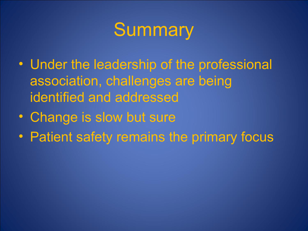# **Summary**

- Under the leadership of the professional association, challenges are being identified and addressed
- Change is slow but sure
- Patient safety remains the primary focus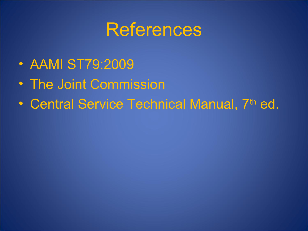#### **References**

- AAMI ST79:2009
- The Joint Commission
- Central Service Technical Manual, 7th ed.